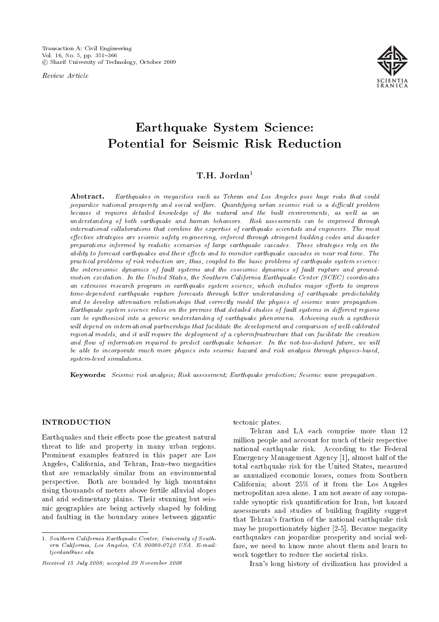Review Article



# Earthquake System Science: Potential for Seismic Risk Reduction

## T.H. Jordan<sup>1</sup>

Abstract. Earthquakes in megacities such as Tehran and Los Angeles pose huge risks that could jeopardize national prosperity and social welfare. Quantifying urban seismic risk is a difficult problem because it requires detailed knowledge of the natural and the built environments, as well as an understanding of both earthquake and human behaviors. Risk assessments can be improved through international collaborations that combine the expertise of earthquake scientists and engineers. The most effective strategies are seismic safety engineering, enforced through stringent building codes and disaster preparations informed by realistic scenarios of large earthquake cascades. These strategies rely on the ability to forecast earthquakes and their effects and to monitor earthquake cascades in near real time. The practical problems of risk reduction are, thus, coupled to the basic problems of earthquake system science: the interseismic dynamics of fault systems and the coseismic dynamics of fault rupture and groundmotion excitation. In the United States, the Southern California Earthquake Center (SCEC) coordinates an extensive research program in earthquake system science, which includes major efforts to improve time-dependent earthquake rupture forecasts through better understanding of earthquake predictability and to develop attenuation relationships that correctly model the physics of seismic wave propagation. Earthquake system science relies on the premise that detailed studies of fault systems in different regions can be synthesized into a generic understanding of earthquake phenomena. Achieving such a synthesis will depend on international partnerships that facilitate the development and comparison of well-calibrated regional models, and it will require the deployment of a cyberinfrastructure that can facilitate the creation and flow of information required to predict earthquake behavior. In the not-too-distant future, we will be able to incorporate much more physics into seismic hazard and risk analysis through physics-based, system-level simulations.

Keywords: Seismic risk analysis; Risk assessment; Earthquake prediction; Seismic wave propagation.

## INTRODUCTION

Earthquakes and their effects pose the greatest natural threat to life and property in many urban regions. Prominent examples featured in this paper are Los Angeles, California, and Tehran, Iran-two megacities that are remarkably similar from an environmental perspective. Both are bounded by high mountains rising thousands of meters above fertile alluvial slopes and arid sedimentary plains. Their stunning but seismic geographies are being actively shaped by folding and faulting in the boundary zones between gigantic

tectonic plates.

Tehran and LA each comprise more than 12 million people and account for much of their respective national earthquake risk. According to the Federal Emergency Management Agency [1], almost half of the total earthquake risk for the United States, measured as annualized economic losses, comes from Southern California; about 25% of it from the Los Angeles metropolitan area alone. I am not aware of any comparable synoptic risk quantification for Iran, but hazard assessments and studies of building fragility suggest that Tehran's fraction of the national earthquake risk may be proportionately higher [2-5]. Because megacity earthquakes can jeopardize prosperity and social welfare, we need to know more about them and learn to work together to reduce the societal risks.

Iran's long history of civilization has provided a

<sup>1.</sup> Southern California Earthquake Center, University of Southern California, Los Angeles, CA 90089-0742 USA. E-mail: tjordan@usc.edu

Received 15 July 2008; accepted 29 November 2008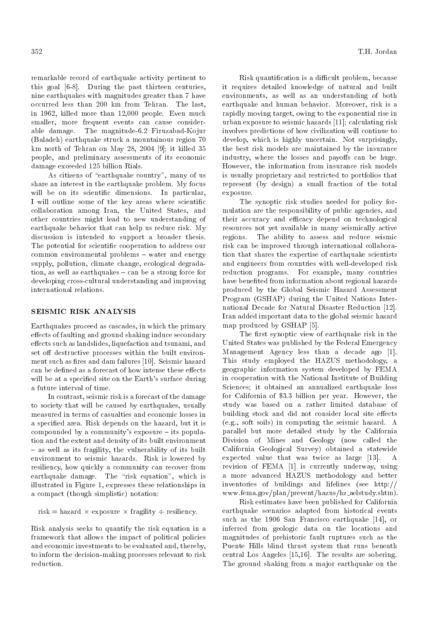remarkable record of earthquake activity pertinent to this goal [6-8]. During the past thirteen centuries, nine earthquakes with magnitudes greater than 7 have occurred less than 200 km from Tehran. The last, in 1962, killed more than 12,000 people. Even much smaller, more frequent events can cause considerable damage. The magnitude-6.2 Firuzabad-Kojur (Baladeh) earthquake struck a mountainous region 70 km north of Tehran on May 28, 2004 [9]; it killed 35 people, and preliminary assessments of its economic damage exceeded 125 billion Rials.

As citizens of "earthquake country", many of us share an interest in the earthquake problem. My focus will be on its scientific dimensions. In particular, I will outline some of the key areas where scientific collaboration among Iran, the United States, and other countries might lead to new understanding of earthquake behavior that can help us reduce risk. My discussion is intended to support a broader thesis. The potential for scientific cooperation to address our common environmental problems - water and energy supply, pollution, climate change, ecological degradation, as well as earthquakes  $-$  can be a strong force for developing cross-cultural understanding and improving international relations.

## SEISMIC RISK ANALYSIS

Earthquakes proceed as cascades, in which the primary effects of faulting and ground shaking induce secondary effects such as landslides, liquefaction and tsunami, and set off destructive processes within the built environment such as fires and dam failures [10]. Seismic hazard can be defined as a forecast of how intense these effects will be at a specified site on the Earth's surface during a future interval of time.

In contrast, seismic risk is a forecast of the damage to society that will be caused by earthquakes, usually measured in terms of casualties and economic losses in a specied area. Risk depends on the hazard, but it is compounded by a community's exposure  $-$  its population and the extent and density of its built environment  $-$  as well as its fragility, the vulnerability of its built environment to seismic hazards. Risk is lowered by resiliency, how quickly a community can recover from earthquake damage. The "risk equation", which is illustrated in Figure 1, expresses these relationships in a compact (though simplistic) notation:

 $risk = hazard \times exposure \times fragility \div residue$ .

Risk analysis seeks to quantify the risk equation in a framework that allows the impact of political policies and economic investments to be evaluated and, thereby, to inform the decision-making processes relevant to risk reduction.

Risk quantification is a difficult problem, because it requires detailed knowledge of natural and built environments, as well as an understanding of both earthquake and human behavior. Moreover, risk is a rapidly moving target, owing to the exponential rise in urban exposure to seismic hazards [11]; calculating risk involves predictions of how civilization will continue to develop, which is highly uncertain. Not surprisingly, the best risk models are maintained by the insurance industry, where the losses and payoffs can be huge. However, the information from insurance risk models is usually proprietary and restricted to portfolios that represent (by design) a small fraction of the total exposure.

The synoptic risk studies needed for policy formulation are the responsibility of public agencies, and their accuracy and efficacy depend on technological resources not yet available in many seismically active regions. The ability to assess and reduce seismic risk can be improved through international collaboration that shares the expertise of earthquake scientists and engineers from countries with well-developed risk reduction programs. For example, many countries have beneted from information about regional hazards produced by the Global Seismic Hazard Assessment Program (GSHAP) during the United Nations International Decade for Natural Disaster Reduction [12]. Iran added important data to the global seismic hazard map produced by GSHAP [5].

The first synoptic view of earthquake risk in the United States was published by the Federal Emergency Management Agency less than a decade ago [1]. This study employed the HAZUS methodology, a geographic information system developed by FEMA in cooperation with the National Institute of Building Sciences; it obtained an annualized earthquake loss for California of \$3.3 billion per year. However, the study was based on a rather limited database of building stock and did not consider local site effects (e.g., soft soils) in computing the seismic hazard. A parallel but more detailed study by the California Division of Mines and Geology (now called the California Geological Survey) obtained a statewide expected value that was twice as large [13]. revision of FEMA [1] is currently underway, using a more advanced HAZUS methodology and better inventories of buildings and lifelines (see http:// www.fema.gov/plan/prevent/hazus/hz aelstudy.shtm).

Risk estimates have been published for California earthquake scenarios adapted from historical events such as the 1906 San Francisco earthquake [14], or inferred from geologic data on the locations and magnitudes of prehistoric fault ruptures such as the Puente Hills blind thrust system that runs beneath central Los Angeles [15,16]. The results are sobering. The ground shaking from a major earthquake on the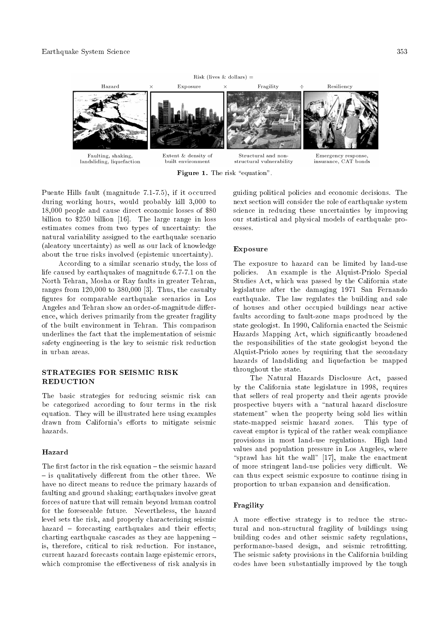

Figure 1. The risk "equation".

insurance, CAT bonds

Puente Hills fault (magnitude 7.1-7.5), if it occurred during working hours, would probably kill 3,000 to 18,000 people and cause direct economic losses of \$80 billion to \$250 billion [16]. The large range in loss estimates comes from two types of uncertainty: the natural variability assigned to the earthquake scenario (aleatory uncertainty) as well as our lack of knowledge about the true risks involved (epistemic uncertainty).

According to a similar scenario study, the loss of life caused by earthquakes of magnitude 6.7-7.1 on the North Tehran, Mosha or Ray faults in greater Tehran, ranges from 120,000 to 380,000 [3]. Thus, the casualty figures for comparable earthquake scenarios in Los Angeles and Tehran show an order-of-magnitude difference, which derives primarily from the greater fragility of the built environment in Tehran. This comparison underlines the fact that the implementation of seismic safety engineering is the key to seismic risk reduction in urban areas.

## STRATEGIES FOR SEISMIC RISK **REDUCTION**

The basic strategies for reducing seismic risk can be categorized according to four terms in the risk equation. They will be illustrated here using examples drawn from California's efforts to mitigate seismic hazards.

## Hazard

The first factor in the risk equation  $-$  the seismic hazard  $-$  is qualitatively different from the other three. We have no direct means to reduce the primary hazards of faulting and ground shaking; earthquakes involve great forces of nature that will remain beyond human control for the foreseeable future. Nevertheless, the hazard level sets the risk, and properly characterizing seismic hazard  $=$  forecasting earthquakes and their effects; charting earthquake cascades as they are happening  $=$ is, therefore, critical to risk reduction. For instance, current hazard forecasts contain large epistemic errors, which compromise the effectiveness of risk analysis in guiding political policies and economic decisions. The next section will consider the role of earthquake system science in reducing these uncertainties by improving our statistical and physical models of earthquake processes.

## Exposure

The exposure to hazard can be limited by land-use policies. An example is the Alquist-Priolo Special Studies Act, which was passed by the California state legislature after the damaging 1971 San Fernando earthquake. The law regulates the building and sale of houses and other occupied buildings near active faults according to fault-zone maps produced by the state geologist. In 1990, California enacted the Seismic Hazards Mapping Act, which signicantly broadened the responsibilities of the state geologist beyond the Alquist-Priolo zones by requiring that the secondary hazards of landsliding and liquefaction be mapped throughout the state.

The Natural Hazards Disclosure Act, passed by the California state legislature in 1998, requires that sellers of real property and their agents provide prospective buyers with a "natural hazard disclosure statement" when the property being sold lies within state-mapped seismic hazard zones. This type of caveat emptor is typical of the rather weak compliance provisions in most land-use regulations. High land values and population pressure in Los Angeles, where "sprawl has hit the wall"  $[17]$ , make the enactment of more stringent land-use policies very difficult. We can thus expect seismic exposure to continue rising in proportion to urban expansion and densication.

## Fragility

A more effective strategy is to reduce the structural and non-structural fragility of buildings using building codes and other seismic safety regulations, performance-based design, and seismic retrofitting. The seismic safety provisions in the California building codes have been substantially improved by the tough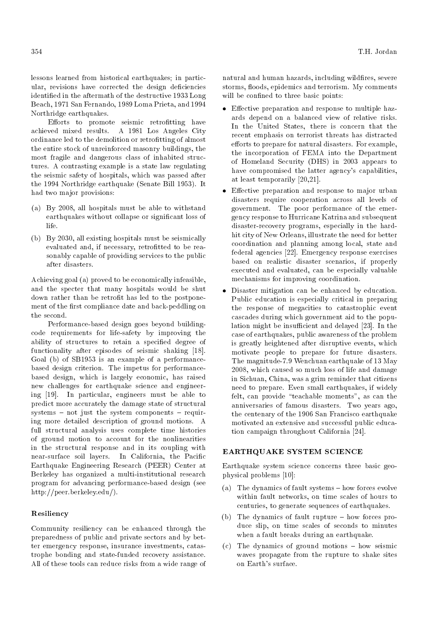lessons learned from historical earthquakes; in particular, revisions have corrected the design deficiencies identied in the aftermath of the destructive 1933 Long Beach, 1971 San Fernando, 1989 Loma Prieta, and 1994 Northridge earthquakes.

Efforts to promote seismic retrofitting have achieved mixed results. A 1981 Los Angeles City ordinance led to the demolition or retrofitting of almost the entire stock of unreinforced masonry buildings, the most fragile and dangerous class of inhabited structures. A contrasting example is a state law regulating the seismic safety of hospitals, which was passed after the 1994 Northridge earthquake (Senate Bill 1953). It had two major provisions:

- (a) By 2008, all hospitals must be able to withstand earthquakes without collapse or signicant loss of life.
- (b) By 2030, all existing hospitals must be seismically evaluated and, if necessary, retrofitted to be reasonably capable of providing services to the public after disasters.

Achieving goal (a) proved to be economically infeasible, and the specter that many hospitals would be shut down rather than be retrofit has led to the postponement of the first compliance date and back-peddling on the second.

Performance-based design goes beyond buildingcode requirements for life-safety by improving the ability of structures to retain a specified degree of functionality after episodes of seismic shaking [18]. Goal (b) of SB1953 is an example of a performancebased design criterion. The impetus for performancebased design, which is largely economic, has raised new challenges for earthquake science and engineering [19]. In particular, engineers must be able to predict more accurately the damage state of structural  $s$  systems  $-$  not just the system components  $-$  requiring more detailed description of ground motions. A full structural analysis uses complete time histories of ground motion to account for the nonlinearities in the structural response and in its coupling with near-surface soil layers. In California, the Pacic Earthquake Engineering Research (PEER) Center at Berkeley has organized a multi-institutional research program for advancing performance-based design (see http://peer.berkeley.edu/).

#### Resiliency

Community resiliency can be enhanced through the preparedness of public and private sectors and by better emergency response, insurance investments, catastrophe bonding and state-funded recovery assistance. All of these tools can reduce risks from a wide range of natural and human hazards, including wildfires, severe storms, floods, epidemics and terrorism. My comments will be confined to three basic points:

- $\bullet$  Effective preparation and response to multiple hazards depend on a balanced view of relative risks. In the United States, there is concern that the recent emphasis on terrorist threats has distracted efforts to prepare for natural disasters. For example, the incorporation of FEMA into the Department of Homeland Security (DHS) in 2003 appears to have compromised the latter agency's capabilities, at least temporarily [20,21].
- Effective preparation and response to major urban disasters require cooperation across all levels of government. The poor performance of the emergency response to Hurricane Katrina and subsequent disaster-recovery programs, especially in the hardhit city of New Orleans, illustrate the need for better coordination and planning among local, state and federal agencies [22]. Emergency response exercises based on realistic disaster scenarios, if properly executed and evaluated, can be especially valuable mechanisms for improving coordination.
- Disaster mitigation can be enhanced by education. Public education is especially critical in preparing the response of megacities to catastrophic event cascades during which government aid to the population might be insufficient and delayed  $[23]$ . In the case of earthquakes, public awareness of the problem is greatly heightened after disruptive events, which motivate people to prepare for future disasters. The magnitude-7.9 Wenchuan earthquake of 13 May 2008, which caused so much loss of life and damage in Sichuan, China, was a grim reminder that citizens need to prepare. Even small earthquakes, if widely felt, can provide "teachable moments", as can the anniversaries of famous disasters. Two years ago, the centenary of the 1906 San Francisco earthquake motivated an extensive and successful public education campaign throughout California [24].

#### EARTHQUAKE SYSTEM SCIENCE

Earthquake system science concerns three basic geophysical problems [10]:

- (a) The dynamics of fault systems  $-$  how forces evolve within fault networks, on time scales of hours to centuries, to generate sequences of earthquakes.
- (b) The dynamics of fault rupture  $-$  how forces produce slip, on time scales of seconds to minutes when a fault breaks during an earthquake.
- $(c)$  The dynamics of ground motions  $-$  how seismic waves propagate from the rupture to shake sites on Earth's surface.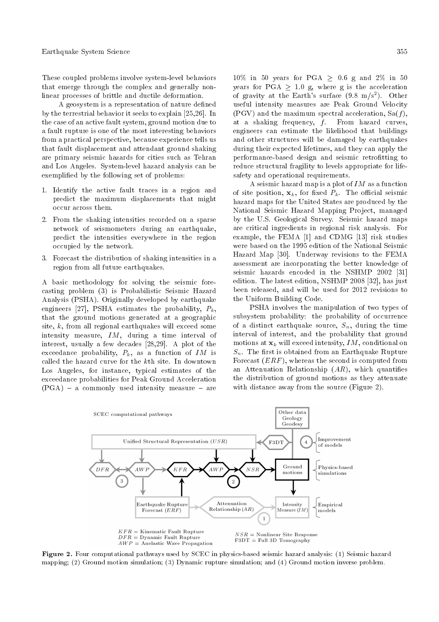These coupled problems involve system-level behaviors that emerge through the complex and generally nonlinear processes of brittle and ductile deformation.

A geosystem is a representation of nature defined by the terrestrial behavior it seeks to explain [25,26]. In the case of an active fault system, ground motion due to a fault rupture is one of the most interesting behaviors from a practical perspective, because experience tells us that fault displacement and attendant ground shaking are primary seismic hazards for cities such as Tehran and Los Angeles. System-level hazard analysis can be exemplied by the following set of problems:

- 1. Identify the active fault traces in a region and predict the maximum displacements that might occur across them.
- 2. From the shaking intensities recorded on a sparse network of seismometers during an earthquake, predict the intensities everywhere in the region occupied by the network.
- 3. Forecast the distribution of shaking intensities in a region from all future earthquakes.

A basic methodology for solving the seismic forecasting problem (3) is Probabilistic Seismic Hazard Analysis (PSHA). Originally developed by earthquake engineers [27], PSHA estimates the probability,  $P_k$ , that the ground motions generated at a geographic site, k, from all regional earthquakes will exceed some intensity measure, IM, during a time interval of interest, usually a few decades [28,29]. A plot of the exceedance probability,  $P_k$ , as a function of IM is called the hazard curve for the kth site. In downtown Los Angeles, for instance, typical estimates of the exceedance probabilities for Peak Ground Acceleration  $(PGA)$  – a commonly used intensity measure – are

10% in 50 years for PGA  $\geq$  0.6 g and 2% in 50 years for PGA  $\geq$  1.0 g, where g is the acceleration of gravity at the Earth's surface  $(9.8 \text{ m/s}^2)$ . Other useful intensity measures are Peak Ground Velocity (PGV) and the maximum spectral acceleration, Sa( $f$ ), at a shaking frequency,  $f$ . From hazard curves, at a shaking frequency,  $f$ . engineers can estimate the likelihood that buildings and other structures will be damaged by earthquakes during their expected lifetimes, and they can apply the performance-based design and seismic retrofitting to reduce structural fragility to levels appropriate for lifesafety and operational requirements.

A seismic hazard map is a plot of  $IM$  as a function of site position,  $\mathbf{x}_k$ , for fixed  $P_k$ . The official seismic hazard maps for the United States are produced by the National Seismic Hazard Mapping Project, managed by the U.S. Geological Survey. Seismic hazard maps are critical ingredients in regional risk analysis. For example, the FEMA [1] and CDMG [13] risk studies were based on the 1995 edition of the National Seismic Hazard Map [30]. Underway revisions to the FEMA assessment are incorporating the better knowledge of seismic hazards encoded in the NSHMP 2002 [31] edition. The latest edition, NSHMP 2008 [32], has just been released, and will be used for 2012 revisions to the Uniform Building Code.

PSHA involves the manipulation of two types of subsystem probability: the probability of occurrence of a distinct earthquake source,  $S_n$ , during the time interval of interest, and the probability that ground motions at  $\mathbf{x}_k$  will exceed intensity, IM, conditional on  $S_n$ . The first is obtained from an Earthquake Rupture Forecast  $(ERF)$ , whereas the second is computed from an Attenuation Relationship  $(AR)$ , which quantifies the distribution of ground motions as they attenuate with distance away from the source (Figure 2).



Figure 2. Four computational pathways used by SCEC in physics-based seismic hazard analysis: (1) Seismic hazard mapping; (2) Ground motion simulation; (3) Dynamic rupture simulation; and (4) Ground motion inverse problem.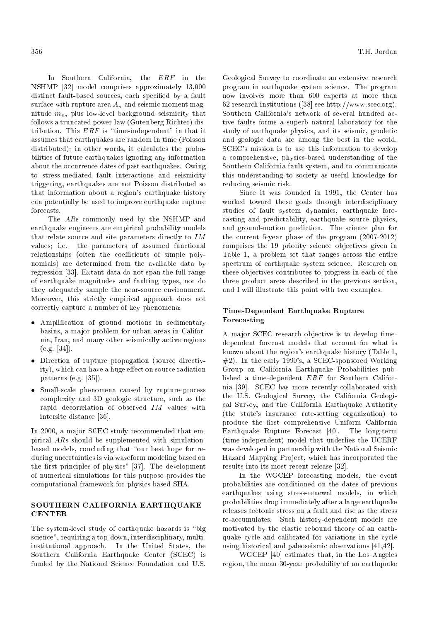In Southern California, the ERF in the NSHMP [32] model comprises approximately 13,000 distinct fault-based sources, each specified by a fault surface with rupture area  $A_n$  and seismic moment magnitude  $m_n$ , plus low-level background seismicity that follows a truncated power-law (Gutenberg-Richter) distribution. This  $ERF$  is "time-independent" in that it assumes that earthquakes are random in time (Poisson distributed); in other words, it calculates the probabilities of future earthquakes ignoring any information about the occurrence dates of past earthquakes. Owing to stress-mediated fault interactions and seismicity triggering, earthquakes are not Poisson distributed so that information about a region's earthquake history can potentially be used to improve earthquake rupture forecasts.

The ARs commonly used by the NSHMP and earthquake engineers are empirical probability models that relate source and site parameters directly to  $IM$  values; i.e. the parameters of assumed functional the parameters of assumed functional relationships (often the coefficients of simple polynomials) are determined from the available data by regression [33]. Extant data do not span the full range of earthquake magnitudes and faulting types, nor do they adequately sample the near-source environment. Moreover, this strictly empirical approach does not correctly capture a number of key phenomena:

- Amplication of ground motions in sedimentary basins, a major problem for urban areas in California, Iran, and many other seismically active regions (e.g. [34]).
- Direction of rupture propagation (source directivity), which can have a huge effect on source radiation patterns (e.g. [35]).
- Small-scale phenomena caused by rupture-process complexity and 3D geologic structure, such as the rapid decorrelation of observed IM values with intersite distance [36].

In 2000, a major SCEC study recommended that empirical ARs should be supplemented with simulationbased models, concluding that "our best hope for reducing uncertainties is via waveform modeling based on the first principles of physics" [37]. The development of numerical simulations for this purpose provides the computational framework for physics-based SHA.

## SOUTHERN CALIFORNIA EARTHQUAKE CENTER

The system-level study of earthquake hazards is "big science", requiring a top-down, interdisciplinary, multiinstitutional approach. In the United States, the Southern California Earthquake Center (SCEC) is funded by the National Science Foundation and U.S.

356 T.H. Jordan

Geological Survey to coordinate an extensive research program in earthquake system science. The program now involves more than 600 experts at more than 62 research institutions ([38] see http://www.scec.org). Southern California's network of several hundred active faults forms a superb natural laboratory for the study of earthquake physics, and its seismic, geodetic and geologic data are among the best in the world. SCEC's mission is to use this information to develop a comprehensive, physics-based understanding of the Southern California fault system, and to communicate this understanding to society as useful knowledge for reducing seismic risk.

Since it was founded in 1991, the Center has worked toward these goals through interdisciplinary studies of fault system dynamics, earthquake forecasting and predictability, earthquake source physics, and ground-motion prediction. The science plan for the current 5-year phase of the program (2007-2012) comprises the 19 priority science objectives given in Table 1, a problem set that ranges across the entire spectrum of earthquake system science. Research on these objectives contributes to progress in each of the three product areas described in the previous section, and I will illustrate this point with two examples.

## Time-Dependent Earthquake Rupture Forecasting

A major SCEC research objective is to develop timedependent forecast models that account for what is known about the region's earthquake history (Table 1, #2). In the early 1990's, a SCEC-sponsored Working Group on California Earthquake Probabilities published a time-dependent ERF for Southern California [39]. SCEC has more recently collaborated with the U.S. Geological Survey, the California Geological Survey, and the California Earthquake Authority (the state's insurance rate-setting organization) to produce the first comprehensive Uniform California Earthquake Rupture Forecast [40]. The long-term (time-independent) model that underlies the UCERF was developed in partnership with the National Seismic Hazard Mapping Project, which has incorporated the results into its most recent release [32].

In the WGCEP forecasting models, the event probabilities are conditioned on the dates of previous earthquakes using stress-renewal models, in which probabilities drop immediately after a large earthquake releases tectonic stress on a fault and rise as the stress re-accumulates. Such history-dependent models are motivated by the elastic rebound theory of an earthquake cycle and calibrated for variations in the cycle using historical and paleoseismic observations [41,42].

WGCEP [40] estimates that, in the Los Angeles region, the mean 30-year probability of an earthquake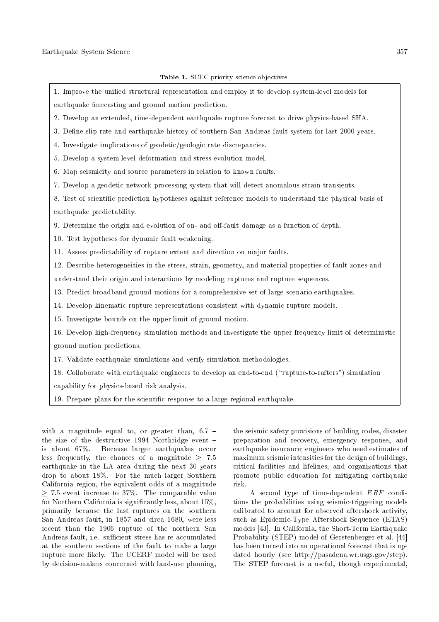1. Improve the unied structural representation and employ it to develop system-level models for earthquake forecasting and ground motion prediction. 2. Develop an extended, time-dependent earthquake rupture forecast to drive physics-based SHA. 3. Define slip rate and earthquake history of southern San Andreas fault system for last 2000 years. 4. Investigate implications of geodetic/geologic rate discrepancies. 5. Develop a system-level deformation and stress-evolution model. 6. Map seismicity and source parameters in relation to known faults. 7. Develop a geodetic network processing system that will detect anomalous strain transients. 8. Test of scientic prediction hypotheses against reference models to understand the physical basis of earthquake predictability. 9. Determine the origin and evolution of on- and off-fault damage as a function of depth. 10. Test hypotheses for dynamic fault weakening. 11. Assess predictability of rupture extent and direction on major faults. 12. Describe heterogeneities in the stress, strain, geometry, and material properties of fault zones and understand their origin and interactions by modeling ruptures and rupture sequences. 13. Predict broadband ground motions for a comprehensive set of large scenario earthquakes. 14. Develop kinematic rupture representations consistent with dynamic rupture models. 15. Investigate bounds on the upper limit of ground motion. 16. Develop high-frequency simulation methods and investigate the upper frequency limit of deterministic ground motion predictions. 17. Validate earthquake simulations and verify simulation methodologies. 18. Collaborate with earthquake engineers to develop an end-to-end (\rupture-to-rafters") simulation capability for physics-based risk analysis.

19. Prepare plans for the scientic response to a large regional earthquake.

with a magnitude equal to, or greater than,  $6.7$  the size of the destructive 1994 Northridge event  $$ is about 67%. Because larger earthquakes occur less frequently, the chances of a magnitude  $> 7.5$ earthquake in the LA area during the next 30 years drop to about 18%. For the much larger Southern California region, the equivalent odds of a magnitude 7:5 event increase to 37%. The comparable value for Northern California is signicantly less, about 15%, primarily because the last ruptures on the southern San Andreas fault, in 1857 and circa 1680, were less recent than the 1906 rupture of the northern San Andreas fault, i.e. sufficient stress has re-accumulated at the southern sections of the fault to make a large rupture more likely. The UCERF model will be used by decision-makers concerned with land-use planning, the seismic safety provisions of building codes, disaster preparation and recovery, emergency response, and earthquake insurance; engineers who need estimates of maximum seismic intensities for the design of buildings, critical facilities and lifelines; and organizations that promote public education for mitigating earthquake risk.

A second type of time-dependent ERF conditions the probabilities using seismic-triggering models calibrated to account for observed aftershock activity, such as Epidemic-Type Aftershock Sequence (ETAS) models [43]. In California, the Short-Term Earthquake Probability (STEP) model of Gerstenberger et al. [44] has been turned into an operational forecast that is updated hourly (see http://pasadena.wr.usgs.gov/step). The STEP forecast is a useful, though experimental,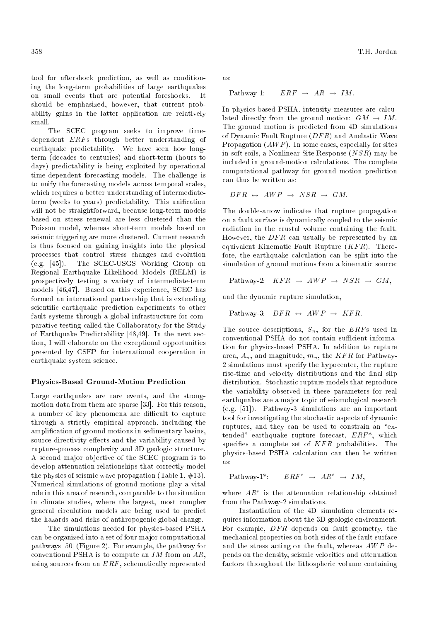tool for aftershock prediction, as well as conditioning the long-term probabilities of large earthquakes on small events that are potential foreshocks. It should be emphasized, however, that current probability gains in the latter application are relatively small.

The SCEC program seeks to improve timedependent ERFs through better understanding of earthquake predictability. We have seen how longterm (decades to centuries) and short-term (hours to days) predictability is being exploited by operational time-dependent forecasting models. The challenge is to unify the forecasting models across temporal scales, which requires a better understanding of intermediateterm (weeks to years) predictability. This unication will not be straightforward, because long-term models based on stress renewal are less clustered than the Poisson model, whereas short-term models based on seismic triggering are more clustered. Current research is thus focused on gaining insights into the physical processes that control stress changes and evolution (e.g. [45]). The SCEC-USGS Working Group on Regional Earthquake Likelihood Models (RELM) is prospectively testing a variety of intermediate-term models [46,47]. Based on this experience, SCEC has formed an international partnership that is extending scientic earthquake prediction experiments to other fault systems through a global infrastructure for comparative testing called the Collaboratory for the Study of Earthquake Predictability [48,49]. In the next section, I will elaborate on the exceptional opportunities presented by CSEP for international cooperation in earthquake system science.

#### Physics-Based Ground-Motion Prediction

Large earthquakes are rare events, and the strongmotion data from them are sparse [33]. For this reason, a number of key phenomena are difficult to capture through a strictly empirical approach, including the amplication of ground motions in sedimentary basins, source directivity effects and the variability caused by rupture-process complexity and 3D geologic structure. A second major objective of the SCEC program is to develop attenuation relationships that correctly model the physics of seismic wave propagation (Table 1,  $\#13$ ). Numerical simulations of ground motions play a vital role in this area of research, comparable to the situation in climate studies, where the largest, most complex general circulation models are being used to predict the hazards and risks of anthropogenic global change.

The simulations needed for physics-based PSHA can be organized into a set of four major computational pathways [50] (Figure 2). For example, the pathway for conventional PSHA is to compute an  $IM$  from an  $AR$ , using sources from an ERF, schematically represented as:

Pathway-1:  $ERF \rightarrow AR \rightarrow IM.$ 

In physics-based PSHA, intensity measures are calculated directly from the ground motion:  $GM \rightarrow IM$ . The ground motion is predicted from 4D simulations of Dynamic Fault Rupture  $(DFR)$  and Anelastic Wave Propagation  $(AWP)$ . In some cases, especially for sites in soft soils, a Nonlinear Site Response (NSR) may be included in ground-motion calculations. The complete computational pathway for ground motion prediction can thus be written as:

$$
DFR \leftrightarrow AWP \rightarrow NSR \rightarrow GM.
$$

The double-arrow indicates that rupture propagation on a fault surface is dynamically coupled to the seismic radiation in the crustal volume containing the fault. However, the  $DFR$  can usually be represented by an equivalent Kinematic Fault Rupture  $(KFR)$ . Therefore, the earthquake calculation can be split into the simulation of ground motions from a kinematic source:

Pathway-2: 
$$
KFR \rightarrow AWP \rightarrow NSR \rightarrow GM
$$
,

and the dynamic rupture simulation,

Pathway-3: 
$$
DFR \leftrightarrow AWP \rightarrow KFR
$$
.

The source descriptions,  $S_n$ , for the *ERFs* used in conventional PSHA do not contain sufficient information for physics-based PSHA. In addition to rupture area,  $A_n$ , and magnitude,  $m_n$ , the KFR for Pathway-2 simulations must specify the hypocenter, the rupture rise-time and velocity distributions and the final slip distribution. Stochastic rupture models that reproduce the variability observed in these parameters for real earthquakes are a major topic of seismological research (e.g. [51]). Pathway-3 simulations are an important tool for investigating the stochastic aspects of dynamic ruptures, and they can be used to constrain an "extended" earthquake rupture forecast, ERF\*, which specifies a complete set of  $KFR$  probabilities. The physics-based PSHA calculation can then be written as:

$$
\text{Pathway-1*:}\qquad ERF^*\ \rightarrow\ AR^*\ \rightarrow\ IM,
$$

where  $AR^*$  is the attenuation relationship obtained from the Pathway-2 simulations.

Instantiation of the 4D simulation elements requires information about the 3D geologic environment. For example,  $DFR$  depends on fault geometry, the mechanical properties on both sides of the fault surface and the stress acting on the fault, whereas  $AWP$  depends on the density, seismic velocities and attenuation factors throughout the lithospheric volume containing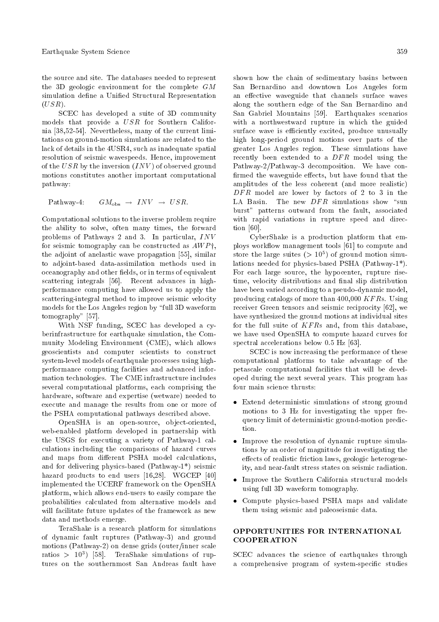the source and site. The databases needed to represent the 3D geologic environment for the complete GM simulation define a Unified Structural Representation  $(USR).$ 

SCEC has developed a suite of 3D community models that provide a USR for Southern California [38,52-54]. Nevertheless, many of the current limitations on ground-motion simulations are related to the lack of details in the 4USR4, such as inadequate spatial resolution of seismic wavespeeds. Hence, improvement of the USR by the inversion  $(INV)$  of observed ground motions constitutes another important computational pathway:

Pathway-4:  $GM_{\text{obs}} \rightarrow INV \rightarrow USR$ .

Computational solutions to the inverse problem require the ability to solve, often many times, the forward problems of Pathways 2 and 3. In particular, INV for seismic tomography can be constructed as  $AWP^{\dagger}$ , the adjoint of anelastic wave propagation [55], similar to adjoint-based data-assimilation methods used in oceanography and other fields, or in terms of equivalent scattering integrals [56]. Recent advances in highperformance computing have allowed us to apply the scattering-integral method to improve seismic velocity models for the Los Angeles region by \full 3D waveform tomography" [57].

With NSF funding, SCEC has developed a cyberinfrastructure for earthquake simulation, the Community Modeling Environment (CME), which allows geoscientists and computer scientists to construct system-level models of earthquake processes using highperformance computing facilities and advanced information technologies. The CME infrastructure includes several computational platforms, each comprising the hardware, software and expertise (wetware) needed to execute and manage the results from one or more of the PSHA computational pathways described above.

OpenSHA is an open-source, object-oriented, web-enabled platform developed in partnership with the USGS for executing a variety of Pathway-1 calculations including the comparisons of hazard curves and maps from different PSHA model calculations, and for delivering physics-based (Pathway-1\*) seismic hazard products to end users [16,28]. WGCEP [40] implemented the UCERF framework on the OpenSHA platform, which allows end-users to easily compare the probabilities calculated from alternative models and will facilitate future updates of the framework as new data and methods emerge.

TeraShake is a research platform for simulations of dynamic fault ruptures (Pathway-3) and ground motions (Pathway-2) on dense grids (outer/inner scale ratios > 10<sup>3</sup> ) [58]. TeraShake simulations of ruptures on the southernmost San Andreas fault have shown how the chain of sedimentary basins between San Bernardino and downtown Los Angeles form an effective waveguide that channels surface waves along the southern edge of the San Bernardino and San Gabriel Mountains [59]. Earthquakes scenarios with a northwestward rupture in which the guided surface wave is efficiently excited, produce unusually high long-period ground motions over parts of the greater Los Angeles region. These simulations have recently been extended to a  $DFR$  model using the Pathway-2/Pathway-3 decomposition. We have con firmed the waveguide effects, but have found that the amplitudes of the less coherent (and more realistic)  $DFR$  model are lower by factors of 2 to 3 in the LA Basin. The new  $DFR$  simulations show "sun burst" patterns outward from the fault, associated with rapid variations in rupture speed and direction [60].

CyberShake is a production platform that employs workflow management tools [61] to compute and store the large suites  $(>10^5)$  of ground motion simulations needed for physics-based PSHA (Pathway-1\*). For each large source, the hypocenter, rupture risetime, velocity distributions and final slip distribution have been varied according to a pseudo-dynamic model, producing catalogs of more than 400,000 KF Rs. Using receiver Green tensors and seismic reciprocity [62], we have synthesized the ground motions at individual sites for the full suite of  $KFRs$  and, from this database, we have used OpenSHA to compute hazard curves for spectral accelerations below 0.5 Hz [63].

SCEC is now increasing the performance of these computational platforms to take advantage of the petascale computational facilities that will be developed during the next several years. This program has four main science thrusts:

- Extend deterministic simulations of strong ground motions to 3 Hz for investigating the upper frequency limit of deterministic ground-motion prediction.
- Improve the resolution of dynamic rupture simulations by an order of magnitude for investigating the effects of realistic friction laws, geologic heterogeneity, and near-fault stress states on seismic radiation.
- Improve the Southern California structural models using full 3D waveform tomography.
- Compute physics-based PSHA maps and validate them using seismic and paleoseismic data.

## OPPORTUNITIES FOR INTERNATIONAL COOPERATION

SCEC advances the science of earthquakes through a comprehensive program of system-specic studies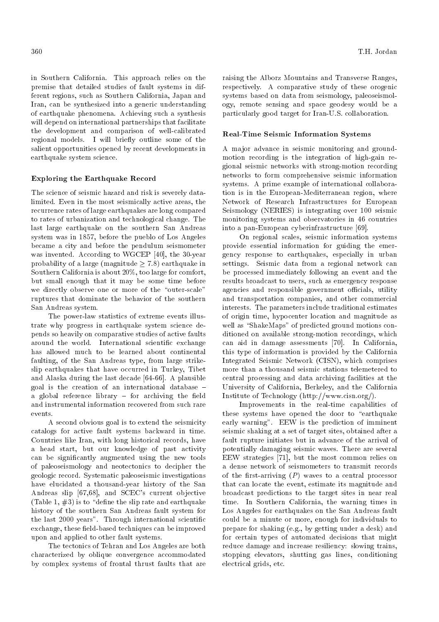in Southern California. This approach relies on the premise that detailed studies of fault systems in different regions, such as Southern California, Japan and Iran, can be synthesized into a generic understanding of earthquake phenomena. Achieving such a synthesis will depend on international partnerships that facilitate the development and comparison of well-calibrated regional models. I will briefly outline some of the salient opportunities opened by recent developments in earthquake system science.

#### Exploring the Earthquake Record

The science of seismic hazard and risk is severely datalimited. Even in the most seismically active areas, the recurrence rates of large earthquakes are long compared to rates of urbanization and technological change. The last large earthquake on the southern San Andreas system was in 1857, before the pueblo of Los Angeles became a city and before the pendulum seismometer was invented. According to WGCEP [40], the 30-year probability of a large (magnitude  $> 7.8$ ) earthquake in Southern California is about 20%, too large for comfort, but small enough that it may be some time before we directly observe one or more of the "outer-scale" ruptures that dominate the behavior of the southern San Andreas system.

The power-law statistics of extreme events illustrate why progress in earthquake system science depends so heavily on comparative studies of active faults around the world. International scientific exchange has allowed much to be learned about continental faulting, of the San Andreas type, from large strikeslip earthquakes that have occurred in Turkey, Tibet and Alaska during the last decade [64-66]. A plausible goal is the creation of an international database  $$ a global reference library  $-$  for archiving the field and instrumental information recovered from such rare events.

A second obvious goal is to extend the seismicity catalogs for active fault systems backward in time. Countries like Iran, with long historical records, have a head start, but our knowledge of past activity can be signicantly augmented using the new tools of paleoseismology and neotectonics to decipher the geologic record. Systematic paleoseismic investigations have elucidated a thousand-year history of the San Andreas slip [67,68], and SCEC's current objective (Table 1,  $\#3$ ) is to "define the slip rate and earthquake history of the southern San Andreas fault system for the last 2000 years". Through international scientific exchange, these field-based techniques can be improved upon and applied to other fault systems.

The tectonics of Tehran and Los Angeles are both characterized by oblique convergence accommodated by complex systems of frontal thrust faults that are raising the Alborz Mountains and Transverse Ranges, respectively. A comparative study of these orogenic systems based on data from seismology, paleoseismology, remote sensing and space geodesy would be a particularly good target for Iran-U.S. collaboration.

#### Real-Time Seismic Information Systems

A major advance in seismic monitoring and groundmotion recording is the integration of high-gain regional seismic networks with strong-motion recording networks to form comprehensive seismic information systems. A prime example of international collaboration is in the European-Mediterranean region, where Network of Research Infrastructures for European Seismology (NERIES) is integrating over 100 seismic monitoring systems and observatories in 46 countries into a pan-European cyberinfrastructure [69].

On regional scales, seismic information systems provide essential information for guiding the emergency response to earthquakes, especially in urban settings. Seismic data from a regional network can be processed immediately following an event and the results broadcast to users, such as emergency response agencies and responsible government officials, utility and transportation companies, and other commercial interests. The parameters include traditional estimates of origin time, hypocenter location and magnitude as well as "ShakeMaps" of predicted ground motions conditioned on available strong-motion recordings, which can aid in damage assessments [70]. In California, this type of information is provided by the California Integrated Seismic Network (CISN), which comprises more than a thousand seismic stations telemetered to central processing and data archiving facilities at the University of California, Berkeley, and the California Institute of Technology (http://www.cisn.org/).

Improvements in the real-time capabilities of these systems have opened the door to "earthquake" early warning". EEW is the prediction of imminent seismic shaking at a set of target sites, obtained after a fault rupture initiates but in advance of the arrival of potentially damaging seismic waves. There are several EEW strategies [71], but the most common relies on a dense network of seismometers to transmit records of the first-arriving  $(P)$  waves to a central processor that can locate the event, estimate its magnitude and broadcast predictions to the target sites in near real time. In Southern California, the warning times in Los Angeles for earthquakes on the San Andreas fault could be a minute or more, enough for individuals to prepare for shaking (e.g., by getting under a desk) and for certain types of automated decisions that might reduce damage and increase resiliency: slowing trains, stopping elevators, shutting gas lines, conditioning electrical grids, etc.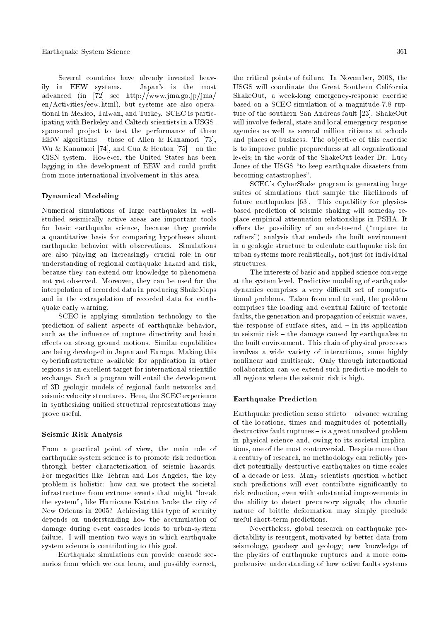Several countries have already invested heavily in EEW systems. Japan's is the most advanced (in [72] see http://www.jma.go.jp/jma/ en/Activities/eew.html), but systems are also operational in Mexico, Taiwan, and Turkey. SCEC is participating with Berkeley and Caltech scientists in a USGSsponsored project to test the performance of three EEW algorithms - those of Allen & Kanamori [73], Wu & Kanamori [74], and Cua & Heaton [75]  $-$  on the CISN system. However, the United States has been lagging in the development of EEW and could profit from more international involvement in this area.

#### Dynamical Modeling

Numerical simulations of large earthquakes in wellstudied seismically active areas are important tools for basic earthquake science, because they provide a quantitative basis for comparing hypotheses about earthquake behavior with observations. Simulations are also playing an increasingly crucial role in our understanding of regional earthquake hazard and risk, because they can extend our knowledge to phenomena not yet observed. Moreover, they can be used for the interpolation of recorded data in producing ShakeMaps and in the extrapolation of recorded data for earthquake early warning.

SCEC is applying simulation technology to the prediction of salient aspects of earthquake behavior, such as the influence of rupture directivity and basin effects on strong ground motions. Similar capabilities are being developed in Japan and Europe. Making this cyberinfrastructure available for application in other regions is an excellent target for international scientific exchange. Such a program will entail the development of 3D geologic models of regional fault networks and seismic velocity structures. Here, the SCEC experience in synthesizing unified structural representations may prove useful.

#### Seismic Risk Analysis

From a practical point of view, the main role of earthquake system science is to promote risk reduction through better characterization of seismic hazards. For megacities like Tehran and Los Angeles, the key problem is holistic: how can we protect the societal infrastructure from extreme events that might "break the system", like Hurricane Katrina broke the city of New Orleans in 2005? Achieving this type of security depends on understanding how the accumulation of damage during event cascades leads to urban-system failure. I will mention two ways in which earthquake system science is contributing to this goal.

Earthquake simulations can provide cascade scenarios from which we can learn, and possibly correct, the critical points of failure. In November, 2008, the USGS will coordinate the Great Southern California ShakeOut, a week-long emergency-response exercise based on a SCEC simulation of a magnitude-7.8 rupture of the southern San Andreas fault [23]. ShakeOut will involve federal, state and local emergency-response agencies as well as several million citizens at schools and places of business. The objective of this exercise is to improve public preparedness at all organizational levels; in the words of the ShakeOut leader Dr. Lucy Jones of the USGS "to keep earthquake disasters from becoming catastrophes".

SCEC's CyberShake program is generating large suites of simulations that sample the likelihoods of future earthquakes [63]. This capability for physicsbased prediction of seismic shaking will someday replace empirical attenuation relationships in PSHA. It offers the possibility of an end-to-end ("rupture to rafters") analysis that embeds the built environment in a geologic structure to calculate earthquake risk for urban systems more realistically, not just for individual structures.

The interests of basic and applied science converge at the system level. Predictive modeling of earthquake dynamics comprises a very difficult set of computational problems. Taken from end to end, the problem comprises the loading and eventual failure of tectonic faults, the generation and propagation of seismic waves, the response of surface sites, and  $-$  in its application to seismic risk  $-$  the damage caused by earthquakes to the built environment. This chain of physical processes involves a wide variety of interactions, some highly nonlinear and multiscale. Only through international collaboration can we extend such predictive models to all regions where the seismic risk is high.

#### Earthquake Prediction

Earthquake prediction senso stricto  $-$  advance warning of the locations, times and magnitudes of potentially  $\alpha$  destructive fault ruptures  $-\alpha$  is a great unsolved problem in physical science and, owing to its societal implications, one of the most controversial. Despite more than a century of research, no methodology can reliably predict potentially destructive earthquakes on time scales of a decade or less. Many scientists question whether such predictions will ever contribute significantly to risk reduction, even with substantial improvements in the ability to detect precursory signals; the chaotic nature of brittle deformation may simply preclude useful short-term predictions.

Nevertheless, global research on earthquake predictability is resurgent, motivated by better data from seismology, geodesy and geology; new knowledge of the physics of earthquake ruptures and a more comprehensive understanding of how active faults systems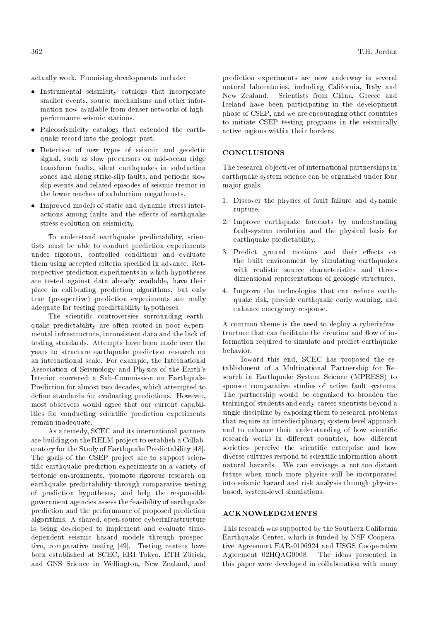actually work. Promising developments include:

- Instrumental seismicity catalogs that incorporate smaller events, source mechanisms and other information now available from denser networks of highperformance seismic stations.
- Paleoseismicity catalogs that extended the earthquake record into the geologic past.
- Detection of new types of seismic and geodetic signal, such as slow precursors on mid-ocean ridge transform faults, silent earthquakes in subduction zones and along strike-slip faults, and periodic slow slip events and related episodes of seismic tremor in the lower reaches of subduction megathrusts.
- Improved models of static and dynamic stress interactions among faults and the effects of earthquake stress evolution on seismicity.

To understand earthquake predictability, scientists must be able to conduct prediction experiments under rigorous, controlled conditions and evaluate them using accepted criteria specied in advance. Retrospective prediction experiments in which hypotheses are tested against data already available, have their place in calibrating prediction algorithms, but only true (prospective) prediction experiments are really adequate for testing predictability hypotheses.

The scientific controversies surrounding earthquake predictability are often rooted in poor experimental infrastructure, inconsistent data and the lack of testing standards. Attempts have been made over the years to structure earthquake prediction research on an international scale. For example, the International Association of Seismology and Physics of the Earth's Interior convened a Sub-Commission on Earthquake Prediction for almost two decades, which attempted to define standards for evaluating predictions. However, most observers would agree that our current capabilities for conducting scientific prediction experiments remain inadequate.

As a remedy, SCEC and its international partners are building on the RELM project to establish a Collaboratory for the Study of Earthquake Predictability [48]. The goals of the CSEP project are to support scientic earthquake prediction experiments in a variety of tectonic environments, promote rigorous research on earthquake predictability through comparative testing of prediction hypotheses, and help the responsible government agencies assess the feasibility of earthquake prediction and the performance of proposed prediction algorithms. A shared, open-source cyberinfrastructure is being developed to implement and evaluate timedependent seismic hazard models through prospective, comparative testing [49]. Testing centers have been established at SCEC, ERI Tokyo, ETH Zürich, and GNS Science in Wellington, New Zealand, and

prediction experiments are now underway in several natural laboratories, including California, Italy and New Zealand. Scientists from China, Greece and Iceland have been participating in the development phase of CSEP, and we are encouraging other countries to initiate CSEP testing programs in the seismically active regions within their borders.

#### CONCLUSIONS

The research objectives of international partnerships in earthquake system science can be organized under four major goals:

- 1. Discover the physics of fault failure and dynamic rupture.
- 2. Improve earthquake forecasts by understanding fault-system evolution and the physical basis for earthquake predictability.
- 3. Predict ground motions and their effects on the built environment by simulating earthquakes with realistic source characteristics and threedimensional representations of geologic structures.
- 4. Improve the technologies that can reduce earthquake risk, provide earthquake early warning, and enhance emergency response.

A common theme is the need to deploy a cyberinfrastructure that can facilitate the creation and flow of information required to simulate and predict earthquake behavior.

Toward this end, SCEC has proposed the establishment of a Multinational Partnership for Research in Earthquake System Science (MPRESS) to sponsor comparative studies of active fault systems. The partnership would be organized to broaden the training of students and early-career scientists beyond a single discipline by exposing them to research problems that require an interdisciplinary, system-level approach and to enhance their understanding of how scientific research works in different countries, how different societies perceive the scientific enterprise and how diverse cultures respond to scientic information about natural hazards. We can envisage a not-too-distant future when much more physics will be incorporated into seismic hazard and risk analysis through physicsbased, system-level simulations.

#### ACKNOWLEDGMENTS

This research was supported by the Southern California Earthquake Center, which is funded by NSF Cooperative Agreement EAR-0106924 and USGS Cooperative Agreement 02HQAG0008. The ideas presented in this paper were developed in collaboration with many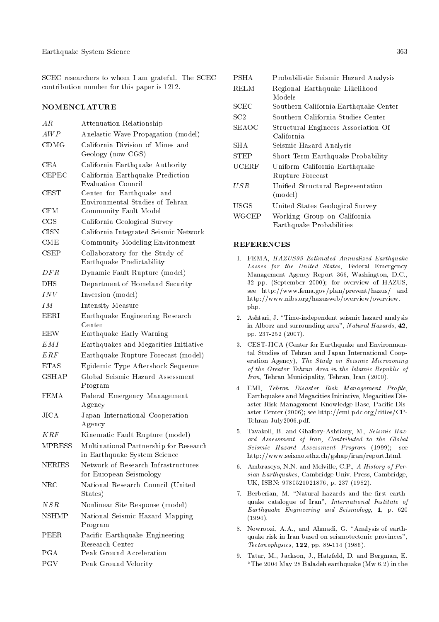SCEC researchers to whom I am grateful. The SCEC contribution number for this paper is 1212.

#### NOMENCLATURE

| ΑR            | Attenuation Relationship                                               |
|---------------|------------------------------------------------------------------------|
| AWP           | Anelastic Wave Propagation (model)                                     |
| CDMG          | California Division of Mines and<br>Geology (now CGS)                  |
| CEA           | California Earthquake Authority                                        |
| $\rm CEPEC$   | California Earthquake Prediction<br><b>Evaluation Council</b>          |
| <b>CEST</b>   | Center for Earthquake and<br>Environmental Studies of Tehran           |
| $\rm CFM$     | <b>Community Fault Model</b>                                           |
| $_{\rm CGS}$  | California Geological Survey                                           |
| CISN          | California Integrated Seismic Network                                  |
| $_{\rm CME}$  | Community Modeling Environment                                         |
| CSEP          | Collaboratory for the Study of<br>Earthquake Predictability            |
| DFR           | Dynamic Fault Rupture (model)                                          |
| DHS           | Department of Homeland Security                                        |
| INV           | Inversion (model)                                                      |
| ΙΜ            | Intensity Measure                                                      |
| <b>EERI</b>   | Earthquake Engineering Research<br>Center                              |
| EEW           | Earthquake Early Warning                                               |
| EMI           | Earthquakes and Megacities Initiative                                  |
| ERF           | Earthquake Rupture Forecast (model)                                    |
| ETAS          | Epidemic Type Aftershock Sequence                                      |
| <b>GSHAP</b>  | Global Seismic Hazard Assessment<br>Program                            |
| <b>FEMA</b>   | Federal Emergency Management<br>Agency                                 |
| $_{\rm JICA}$ | Japan International Cooperation<br>Agency                              |
| K R F         | Kinematic Fault Rupture (model)                                        |
| MPRESS        | Multinational Partnership for Research<br>in Earthquake System Science |
| NERIES        | Network of Research Infrastructures<br>for European Seismology         |
| $_{\rm NRC}$  | National Research Council (United<br>States)                           |
| NSR           | Nonlinear Site Response (model)                                        |
| NSHMP         | National Seismic Hazard Mapping<br>Program                             |
| PEER          | Pacific Earthquake Engineering<br>Research Center                      |
| PGA           | Peak Ground Acceleration                                               |
| PGV           | Peak Ground Velocity                                                   |

| PSHA  | Probabilistic Seismic Hazard Analysis |
|-------|---------------------------------------|
| RELM  | Regional Earthquake Likelihood        |
|       | Models                                |
| SCEC  | Southern California Earthquake Center |
| SC2   | Southern California Studies Center    |
| SEAOC | Structural Engineers Association Of   |
|       | California                            |
| SHA   | Seismic Hazard Analysis               |
| STEP  | Short Term Earthquake Probability     |
| UCERF | Uniform California Earthquake         |
|       | Rupture Forecast                      |
| U S R | Unified Structural Representation     |
|       | (model)                               |
| USGS  | United States Geological Survey       |
| WGCEP | Working Group on California           |
|       | Earthquake Probabilities              |

#### REFERENCES

- 1. FEMA, HAZUS99 Estimated Annualized Earthquake Losses for the United States, Federal Emergency Management Agency Report 366, Washington, D.C., 32 pp. (September 2000); for overview of HAZUS, see http://www.fema.gov/plan/prevent/hazus/ and http://www.nibs.org/hazusweb/overview/overview. php.
- 2. Ashtari, J. "Time-independent seismic hazard analysis in Alborz and surrounding area", Natural Hazards, 42, pp. 237-252 (2007).
- 3. CEST-JICA (Center for Earthquake and Environmental Studies of Tehran and Japan International Cooperation Agency), The Study on Seismic Microzoning of the Greater Tehran Area in the Islamic Republic of Iran, Tehran Municipality, Tehran, Iran (2000).
- 4. EMI, Tehran Disaster Risk Management Profile, Earthquakes and Megacities Initiative, Megacities Disaster Risk Management Knowledge Base, Pacic Disaster Center (2006); see http://emi.pdc.org/cities/CP-Tehran-July2006.pdf.
- 5. Tavakoli, B. and Ghafory-Ashtiany, M., Seismic Hazard Assessment of Iran, Contributed to the Global Seismic Hazard Assessment Program (1999); see http://www.seismo.ethz.ch/gshap/iran/report.html.
- 6. Ambraseys, N.N. and Melville, C.P., A History of Persian Earthquakes, Cambridge Univ. Press, Cambridge, UK, ISBN: 9780521021876, p. 237 (1982).
- 7. Berberian, M. "Natural hazards and the first earthquake catalogue of Iran", International Institute of Earthquake Engineering and Seismology, 1, p. 620 (1994).
- 8. Nowroozi, A.A., and Ahmadi, G. "Analysis of earthquake risk in Iran based on seismotectonic provinces", Tectonophysics, 122, pp. 89-114 (1986).
- 9. Tatar, M., Jackson, J., Hatzfeld, D. and Bergman, E. "The  $2004$  May 28 Baladeh earthquake (Mw 6.2) in the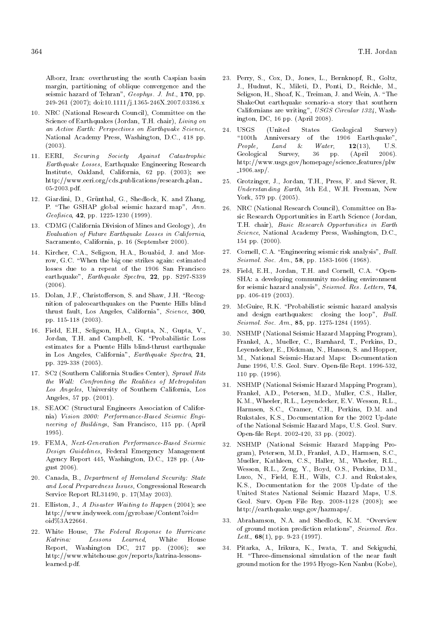Alborz, Iran: overthrusting the south Caspian basin margin, partitioning of oblique convergence and the seismic hazard of Tehran", Geophys. J. Int., 170, pp. 249-261 (2007); doi:10.1111/j.1365-246X.2007.03386.x

- 10. NRC (National Research Council), Committee on the Science of Earthquakes (Jordan, T.H. chair), Living on an Active Earth: Perspectives on Earthquake Science, National Academy Press, Washington, D.C., 418 pp.  $(2003)$ .
- 11. EERI, Securing Society Against Catastrophic Earthquake Losses, Earthquake Engineering Research Institute, Oakland, California, 62 pp. (2003); see http://www.eeri.org/cds\_publications/research\_plan\_ 05-2003.pdf.
- 12. Giardini, D., Grünthal, G., Shedlock, K. and Zhang, P. "The GSHAP global seismic hazard map", Ann. Geofisica, 42, pp. 1225-1230 (1999).
- 13. CDMG (California Division of Mines and Geology),  $An$ Evaluation of Future Earthquake Losses in California, Sacramento, California, p. 16 (September 2000).
- 14. Kircher, C.A., Seligson, H.A., Bouabid, J. and Morrow, G.C. \When the big one strikes again: estimated losses due to a repeat of the 1906 San Francisco earthquake", Earthquake Spectra, 22, pp. S297-S339 (2006).
- 15. Dolan, J.F., Christofferson, S. and Shaw, J.H. "Recognition of paleoearthquakes on the Puente Hills blind thrust fault, Los Angeles, California", Science, 300, pp. 115-118 (2003).
- 16. Field, E.H., Seligson, H.A., Gupta, N., Gupta, V., Jordan, T.H. and Campbell, K. \Probabilistic Loss estimates for a Puente Hills blind-thrust earthquake in Los Angeles, California", Earthquake Spectra, 21, pp. 329-338 (2005).
- 17. SC2 (Southern California Studies Center), Sprawl Hits the Wall: Confronting the Realities of Metropolitan Los Angeles, University of Southern California, Los Angeles, 57 pp. (2001).
- 18. SEAOC (Structural Engineers Association of California) Vision 2000: Performance-Based Seismic Engineering of Buildings, San Francisco, 115 pp. (April 1995).
- 19. FEMA, Next-Generation Performance-Based Seismic Design Guidelines, Federal Emergency Management Agency Report 445, Washington, D.C., 128 pp. (August 2006).
- 20. Canada, B., Department of Homeland Security: State and Local Preparedness Issues, Congressional Research Service Report RL31490, p. 17(May 2003).
- 21. Elliston, J., A Disaster Waiting to Happen (2004); see http://www.indyweek.com/gyrobase/Content?oid= oid%3A22664.
- 22. White House, The Federal Response to Hurricane Katrina: Lessons Learned, White House Report, Washington DC, 217 pp. (2006); see http://www.whitehouse.gov/reports/katrina-lessonslearned.pdf.
- 23. Perry, S., Cox, D., Jones, L., Bernknopf, R., Goltz, J., Hudnut, K., Mileti, D., Ponti, D., Reichle, M., Seligson, H., Shoaf, K., Treiman, J. and Wein, A. "The ShakeOut earthquake scenario-a story that southern Californians are writing", USGS Circular 1324, Washington, DC, 16 pp. (April 2008).
- 24. USGS (United States Geological Survey) \100th Anniversary of the 1906 Earthquake", People, Land & Water,  $12(13)$ , U.S. Geological Survey, 36 pp. (April 2006). http://www.usgs.gov/homepage/science features/plw  $-1906.\nasp.$
- 25. Grotzinger, J., Jordan, T.H., Press, F. and Siever, R. Understanding Earth, 5th Ed., W.H. Freeman, New York, 579 pp. (2005).
- 26. NRC (National Research Council), Committee on Basic Research Opportunities in Earth Science (Jordan, T.H. chair), Basic Research Opportunities in Earth Science, National Academy Press, Washington, D.C., 154 pp. (2000).
- 27. Cornell, C.A. "Engineering seismic risk analysis", Bull. Seismol. Soc. Am., **58**, pp. 1583-1606 (1968).
- 28. Field, E.H., Jordan, T.H. and Cornell, C.A. "Open-SHA: a developing community modeling environment for seismic hazard analysis", Seismol. Res. Letters, 74, pp. 406-419 (2003).
- 29. McGuire, R.K. \Probabilistic seismic hazard analysis and design earthquakes: closing the loop", Bull. Seismol. Soc. Am., 85, pp. 1275-1284 (1995).
- 30. NSHMP (National Seismic Hazard Mapping Program), Frankel, A., Mueller, C., Barnhard, T., Perkins, D., Leyendecker, E., Dickman, N., Hanson, S. and Hopper, M., National Seismic-Hazard Maps: Documentation June 1996, U.S. Geol. Surv. Open-file Rept. 1996-532, 110 pp. (1996).
- 31. NSHMP (National Seismic Hazard Mapping Program), Frankel, A.D., Petersen, M.D., Muller, C.S., Haller, K.M., Wheeler, R.L., Leyendecker, E.V. Wesson, R.L., Harmsen, S.C., Cramer, C.H., Perkins, D.M. and Rukstales, K.S., Documentation for the 2002 Update of the National Seismic Hazard Maps, U.S. Geol. Surv. Open-le Rept. 2002-420, 33 pp. (2002).
- 32. NSHMP (National Seismic Hazard Mapping Program), Petersen, M.D., Frankel, A.D., Harmsen, S.C., Mueller, Kathleen, C.S., Haller, M., Wheeler, R.L., Wesson, R.L., Zeng, Y., Boyd, O.S., Perkins, D.M., Luco, N., Field, E.H., Wills, C.J. and Rukstales, K.S., Documentation for the 2008 Update of the United States National Seismic Hazard Maps, U.S. Geol. Surv. Open File Rep. 2008-1128 (2008); see http://earthquake.usgs.gov/hazmaps/.
- 33. Abrahamson, N.A. and Shedlock, K.M. "Overview of ground motion prediction relations", Seismol. Res. Lett.,  $68(1)$ , pp. 9-23 (1997).
- 34. Pitarka, A., Irikura, K., Iwata, T. and Sekiguchi, H. \Three-dimensional simulation of the near fault ground motion for the 1995 Hyogo-Ken Nanbu (Kobe),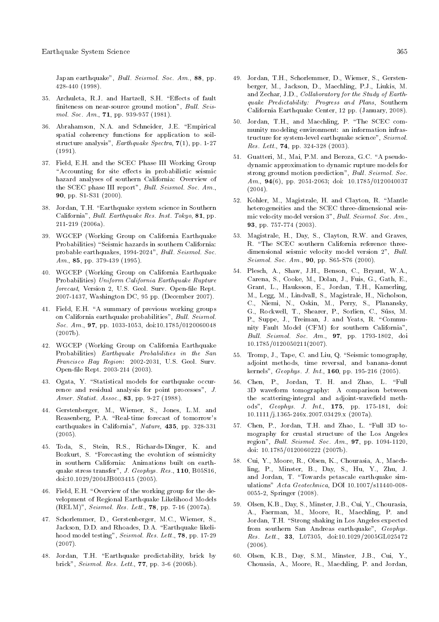Japan earthquake", Bull. Seismol. Soc. Am., 88, pp. 428-440 (1998).

- 35. Archuleta, R.J. and Hartzell, S.H. "Effects of fault finiteness on near-source ground motion", Bull. Seismol. Soc. Am., **71**, pp. 939-957 (1981).
- 36. Abrahamson, N.A. and Schneider, J.E. "Empirical spatial coherency functions for application to soilstructure analysis",  $Earthquake$  Spectra,  $7(1)$ , pp. 1-27 (1991).
- 37. Field, E.H. and the SCEC Phase III Working Group "Accounting for site effects in probabilistic seismic hazard analyses of southern California: Overview of the SCEC phase III report", Bull. Seismol. Soc. Am., 90, pp. S1-S31 (2000).
- 38. Jordan, T.H. "Earthquake system science in Southern California", Bull. Earthquake Res. Inst. Tokyo, 81, pp. 211-219 (2006a).
- 39. WGCEP (Working Group on California Earthquake Probabilities) "Seismic hazards in southern California: probable earthquakes, 1994-2024", Bull. Seismol. Soc. Am., **85**, pp. 379-439 (1995).
- 40. WGCEP (Working Group on California Earthquake Probabilities) Uniform California Earthquake Rupture forecast, Version 2, U.S. Geol. Surv. Open-file Rept. 2007-1437, Washington DC, 95 pp. (December 2007).
- 41. Field, E.H. "A summary of previous working groups on California earthquake probabilities", Bull. Seismol. Soc. Am., 97, pp. 1033-1053, doi:10.1785/0120060048 (2007b).
- 42. WGCEP (Working Group on California Earthquake Probabilities) Earthquake Probabilities in the San Francisco Bay Region: 2002-2031, U.S. Geol. Surv. Open-le Rept. 2003-214 (2003).
- 43. Ogata, Y. "Statistical models for earthquake occurrence and residual analysis for point processes", J. Amer. Statist. Assoc., 83, pp. 9-27 (1988).
- 44. Gerstenberger, M., Wiemer, S., Jones, L.M. and Reasenberg, P.A. "Real-time forecast of tomorrow's earthquakes in California", Nature, 435, pp. 328-331  $(2005).$
- 45. Toda, S., Stein, R.S., Richards-Dinger, K. and Bozkurt, S. "Forecasting the evolution of seismicity in southern California: Animations built on earthquake stress transfer", J. Geophys. Res., 110, B05S16, doi:10.1029/2004JB003415 (2005).
- 46. Field, E.H. "Overview of the working group for the development of Regional Earthquake Likelihood Models (RELM)", Seismol. Res. Lett., 78, pp. 7-16 (2007a).
- 47. Schorlemmer, D., Gerstenberger, M.C., Wiemer, S., Jackson, D.D. and Rhoades, D.A. "Earthquake likelihood model testing", Seismol. Res. Lett., 78, pp. 17-29  $(2007).$
- 48. Jordan, T.H. "Earthquake predictability, brick by brick", Seismol. Res. Lett., 77, pp. 3-6 (2006b).
- 49. Jordan, T.H., Schorlemmer, D., Wiemer, S., Gerstenberger, M., Jackson, D., Maechling, P.J., Liukis, M. and Zechar, J.D., Collaboratory for the Study of Earthquake Predictability: Progress and Plans, Southern California Earthquake Center, 12 pp. (January, 2008).
- 50. Jordan, T.H., and Maechling, P. \The SCEC community modeling environment: an information infrastructure for system-level earthquake science", Seismol. Res. Lett., 74, pp. 324-328 (2003).
- 51. Guatteri, M., Mai, P.M. and Beroza, G.C. "A pseudodynamic approximation to dynamic rupture models for strong ground motion prediction", Bull. Seismol. Soc. Am., 94(6), pp. 2051-2063; doi: 10.1785/0120040037  $(2004).$
- 52. Kohler, M., Magistrale, H. and Clayton, R. "Mantle heterogeneities and the SCEC three-dimensional seismic velocity model version 3", Bull. Seismol. Soc. Am., 93, pp. 757-774 (2003).
- 53. Magistrale, H., Day, S., Clayton, R.W. and Graves, R. "The SCEC southern California reference threedimensional seismic velocity model version 2", Bull. Seismol. Soc. Am., 90, pp. S65-S76 (2000).
- 54. Plesch, A., Shaw, J.H., Benson, C., Bryant, W.A., Carena, S., Cooke, M., Dolan, J., Fuis, G., Gath, E., Grant, L., Hauksson, E., Jordan, T.H., Kamerling, M., Legg, M., Lindvall, S., Magistrale, H., Nicholson, C., Niemi, N., Oskin, M., Perry, S., Planansky, G., Rockwell, T., Shearer, P., Sorlien, C., Suss, M. P., Suppe, J., Treiman, J. and Yeats, R. "Community Fault Model (CFM) for southern California", Bull. Seismol. Soc. Am., 97, pp. 1793-1802, doi 10.1785/0120050211(2007).
- 55. Tromp, J., Tape, C. and Liu, Q. "Seismic tomography, adjoint methods, time reversal, and banana-donut kernels", Geophys. J. Int., 160, pp. 195-216 (2005).
- 56. Chen, P., Jordan, T. H. and Zhao, L. \Full 3D waveform tomography: A comparison between the scattering-integral and adjoint-wavefield methods", Geophys. J. Int., 175, pp. 175-181, doi: 10.1111/j.1365-246x.2007.03429.x (2007a).
- 57. Chen, P., Jordan, T.H. and Zhao, L. \Full 3D tomography for crustal structure of the Los Angeles region", Bull. Seismol. Soc. Am., 97, pp. 1094-1120, doi: 10.1785/0120060222 (2007b).
- 58. Cui, Y., Moore, R., Olsen, K., Chourasia, A., Maechling, P., Minster, B., Day, S., Hu, Y., Zhu, J. and Jordan, T. "Towards petascale earthquake simulations" Acta Geotechnica, DOI 10.1007/s11440-008- 0055-2, Springer (2008).
- 59. Olsen, K.B., Day, S., Minster, J.B., Cui, Y., Chourasia, A., Faerman, M., Moore, R., Maechling, P. and Jordan, T.H. "Strong shaking in Los Angeles expected from southern San Andreas earthquake", Geophys. Res. Lett., 33, L07305, doi:10.1029/2005GL025472 (2006).
- 60. Olsen, K.B., Day, S.M., Minster, J.B., Cui, Y., Chouasia, A., Moore, R., Maechling, P. and Jordan,